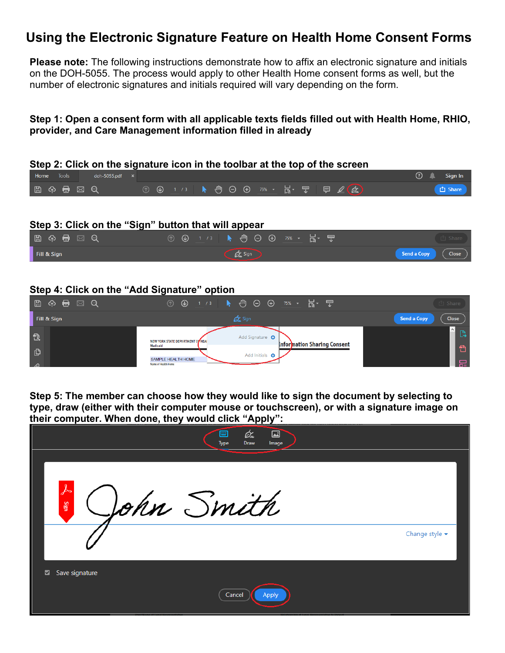# **Using the Electronic Signature Feature on Health Home Consent Forms**

**Please note:** The following instructions demonstrate how to affix an electronic signature and initials on the DOH-5055. The process would apply to other Health Home consent forms as well, but the number of electronic signatures and initials required will vary depending on the form.

## **Step 1: Open a consent form with all applicable texts fields filled out with Health Home, RHIO, provider, and Care Management information filled in already**



#### **Step 3: Click on the "Sign" button that will appear**

| $\Box$ $\land$ $\Box$ $\odot$ | ① ④ 1 /3 ▶ ⑪ ⊝ ⊕ 75% ㆍ 忌・ 罒 |                                 |
|-------------------------------|-----------------------------|---------------------------------|
| Fill & Sign                   | $\phi$ Sign                 | Send a Copy<br>$\sqrt{C}$ Close |

#### **Step 4: Click on the "Add Signature" option**

| 9 3 5 日 ⊠ 9   | $\odot$                           | → /3 ▶ ⑪ ⊝ ⊕ 75% ▼ 忌▼ 罒                        | <b>白 Share</b>              |
|---------------|-----------------------------------|------------------------------------------------|-----------------------------|
| Fill & Sign   |                                   | <b>Dr</b> Sign                                 | <b>Close</b><br>Send a Copy |
| 云             | NEW YORK STATE DEPARTMENT OF HEAL | Add Signature O<br>Information Sharing Consent | $\sim$                      |
| பி            | Medicaid<br>SAMPLE HEALTH HOME    | <b>Add Initials</b>                            |                             |
| $\mathcal{D}$ | Name of Health Home               |                                                | 品                           |

**Step 5: The member can choose how they would like to sign the document by selecting to type, draw (either with their computer mouse or touchscreen), or with a signature image on their computer. When done, they would click "Apply":**

| -, ----             | rr.,<br>Óm<br>囜<br>▦<br>Draw<br>Image<br><b>Type</b> |                                    |
|---------------------|------------------------------------------------------|------------------------------------|
|                     |                                                      |                                    |
| ⅄<br>Sign           | John Smith                                           |                                    |
|                     |                                                      | Change style $\blacktriangleright$ |
| Save signature<br>◘ |                                                      |                                    |
|                     | Cancel<br>Apply                                      |                                    |